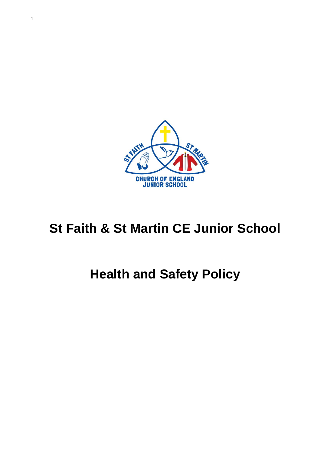

# **St Faith & St Martin CE Junior School**

# **Health and Safety Policy**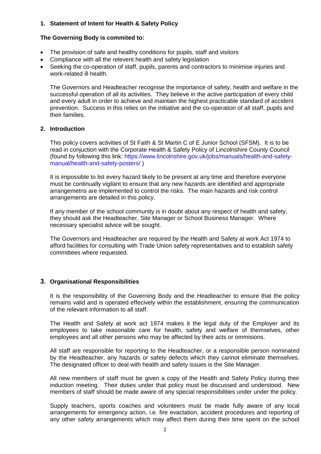# **1. Statement of Intent for Health & Safety Policy**

# **The Governing Body is commited to:**

- The provision of safe and healthy conditions for pupils, staff and visitors
- Compliance with all the relevent health and safety legislation
- Seeking the co-operation of staff, pupils, parents and contractors to minimise injuries and work-related ill health.

The Governors and Headteacher recognise the importance of safety, health and welfare in the successful operation of all its activities. They believe in the active participation of every child and every adult in order to achieve and maintain the highest practicable standard of accident prevention. Success in this relies on the initiative and the co-operation of all staff, pupils and their families.

#### **2. Introduction**

This policy covers activities of St Faith & St Martin C of E Junior School (SFSM). It is to be read in conjuction with the Corporate Health & Safety Policy of Lincolnshire County Council (found by following this link: [https://www.lincolnshire.gov.uk/jobs/manuals/health-and-safety](https://www.lincolnshire.gov.uk/jobs/manuals/health-and-safety-manual/health-and-safety-posters/)[manual/health-and-safety-posters/](https://www.lincolnshire.gov.uk/jobs/manuals/health-and-safety-manual/health-and-safety-posters/) )

It is impossible to list every hazard likely to be present at any time and therefore everyone must be continually vigilant to ensure that any new hazards are identified and appropriate arrangemetns are implemented to control the risks. The main hazards and risk control arrangements are detailed in this policy.

If any member of the school community is in doubt about any respect of health and safety, they should ask the Headteacher, Site Manager or School Business Manager. Where necessary specialist advice will be sought.

The Governors and Headteacher are required by the Health and Safety at work Act 1974 to afford facilities for consulting with Trade Union safety representatives and to establish safety committees where requested.

#### **3. Organisational Responsibilities**

It is the responsibility of the Governing Body and the Headteacher to ensure that the policy remains valid and is operated effecively within the establishment, ensuring the communication of the relevant information to all staff.

The Health and Safety at work act 1974 makes it the legal duty of the Employer and its employees to take reasonable care for health, safety and welfare of themselves, other employees and all other persons who may be affected by their acts or ommisions.

All staff are responsible for reporting to the Headteacher, or a responsible person nominated by the Headteacher, any hazards or safety defects which they cannot eliminate themselves. The designated officer to deal with health and safety issues is the Site Manager.

All new members of staff must be given a copy of the Health and Safety Policy during their induction meeting. Their duties under that policy must be discussed and understood. New members of staff should be made aware of any special responsibilities under under the policy.

Supply teachers, sports coaches and volunteers must be made fully aware of any local arrangements for emergency action, i.e. fire evactation, accident procedures and reporting of any other safety arrangements which may affect them during their time spent on the school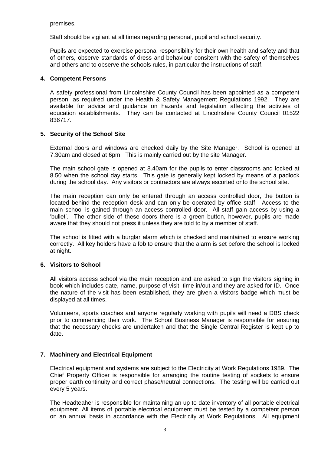premises.

Staff should be vigilant at all times regarding personal, pupil and school security.

Pupils are expected to exercise personal responsibiltiy for their own health and safety and that of others, observe standards of dress and behaviour consitent with the safety of themselves and others and to observe the schools rules, in particular the instructions of staff.

# **4. Competent Persons**

A safety professional from Lincolnshire County Council has been appointed as a competent person, as required under the Health & Safety Management Regulations 1992. They are available for advice and guidance on hazards and legislation affecting the activties of education establishments. They can be contacted at Lincolnshire County Council 01522 836717.

# **5. Security of the School Site**

External doors and windows are checked daily by the Site Manager. School is opened at 7.30am and closed at 6pm. This is mainly carried out by the site Manager.

The main school gate is opened at 8.40am for the pupils to enter classrooms and locked at 8.50 when the school day starts. This gate is generally kept locked by means of a padlock during the school day. Any visitors or contractors are always escorted onto the school site.

The main reception can only be entered through an access controlled door, the button is located behind the reception desk and can only be operated by office staff. Access to the main school is gained through an access controlled door. All staff gain access by using a 'bullet'. The other side of these doors there is a green button, however, pupils are made aware that they should not press it unless they are told to by a member of staff.

The school is fitted with a burglar alarm which is checked and maintained to ensure working correctly. All key holders have a fob to ensure that the alarm is set before the school is locked at night.

#### **6. Visitors to School**

All visitors access school via the main reception and are asked to sign the visitors signing in book which includes date, name, purpose of visit, time in/out and they are asked for ID. Once the nature of the visit has been established, they are given a visitors badge which must be displayed at all times.

Volunteers, sports coaches and anyone regularly working with pupils will need a DBS check prior to commencing their work. The School Business Manager is responsible for ensuring that the necessary checks are undertaken and that the Single Central Register is kept up to date.

#### **7. Machinery and Electrical Equipment**

Electrical equipment and systems are subject to the Electricity at Work Regulations 1989. The Chief Property Officer is responsible for arranging the routine testing of sockets to ensure proper earth continuity and correct phase/neutral connections. The testing will be carried out every 5 years.

The Headteaher is responsible for maintaining an up to date inventory of all portable electrical equipment. All items of portable electrical equipment must be tested by a competent person on an annual basis in accordance with the Electricity at Work Regulations. All equipment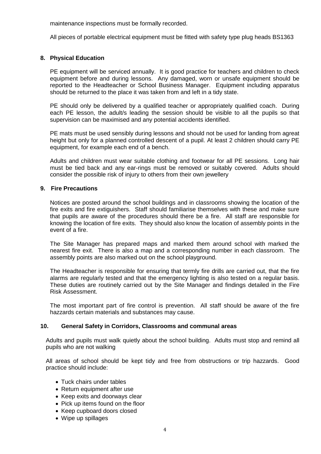maintenance inspections must be formally recorded.

All pieces of portable electrical equipment must be fitted with safety type plug heads BS1363

# **8. Physical Education**

PE equipment will be serviced annually. It is good practice for teachers and children to check equipment before and during lessons. Any damaged, worn or unsafe equipment should be reported to the Headteacher or School Business Manager. Equipment including apparatus should be returned to the place it was taken from and left in a tidy state.

PE should only be delivered by a qualified teacher or appropriately qualified coach. During each PE lesson, the adult/s leading the session should be visible to all the pupils so that supervision can be maximised and any potential accidents identified.

PE mats must be used sensibly during lessons and should not be used for landing from agreat height but only for a planned controlled descent of a pupil. At least 2 children should carry PE equipment, for example each end of a bench.

Adults and children must wear suitable clothing and footwear for all PE sessions. Long hair must be tied back and any ear-rings must be removed or suitably covered. Adults should consider the possible risk of injury to others from their own jewellery

#### **9. Fire Precautions**

Notices are posted around the school buildings and in classrooms showing the location of the fire exits and fire extiguishers. Staff should familiarise themselves with these and make sure that pupils are aware of the procedures should there be a fire. All staff are responsible for knowing the location of fire exits. They should also know the location of assembly points in the event of a fire.

The Site Manager has prepared maps and marked them around school with marked the nearest fire exit. There is also a map and a corresponding number in each classroom. The assembly points are also marked out on the school playground.

The Headteacher is responsible for ensuring that termly fire drills are carried out, that the fire alarms are regularly tested and that the emergency lighting is also tested on a regular basis. These duties are routinely carried out by the Site Manager and findings detailed in the Fire Risk Assessment.

The most important part of fire control is prevention. All staff should be aware of the fire hazzards certain materials and substances may cause.

#### **10. General Safety in Corridors, Classrooms and communal areas**

Adults and pupils must walk quietly about the school building. Adults must stop and remind all pupils who are not walking

All areas of school should be kept tidy and free from obstructions or trip hazzards. Good practice should include:

- Tuck chairs under tables
- Return equipment after use
- Keep exits and doorways clear
- Pick up items found on the floor
- Keep cupboard doors closed
- Wipe up spillages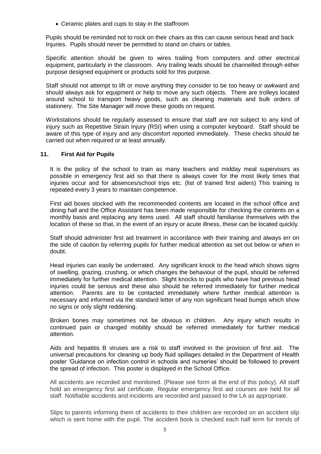• Ceramic plates and cups to stay in the staffroom

Pupils should be reminded not to rock on their chairs as this can cause serious head and back Injuries. Pupils should never be permitted to stand on chairs or tables.

Specific attention should be given to wires trailing from computers and other electrical equipment, particularly in the classroom. Any trailing leads should be channelled through either purpose designed equipment or products sold for this purpose.

Staff should not attempt to lift or move anything they consider to be too heavy or awkward and should always ask for equipment or help to move any such objects. There are trolleys located around school to transport heavy goods, such as cleaning materials and bulk orders of stationery. The Site Manager will move these goods on request.

Workstations should be regularly assessed to ensure that staff are not subject to any kind of injury such as Repetitive Strain Injury (RSI) when using a computer keyboard. Staff should be aware of this type of injury and any discomfort reported immediately. These checks should be carried out when required or at least annually.

#### **11. First Aid for Pupils**

It is the policy of the school to train as many teachers and midday meal supervisors as possible in emergency first aid so that there is always cover for the most likely times that injuries occur and for absences/school trips etc. (list of trained first aiders) This training is repeated every 3 years to maintain competence.

First aid boxes stocked with the recommended contents are located in the school office and dining hall and the Office Assistant has been made responsible for checking the contents on a monthly basis and replacing any items used. All staff should familiarise themselves with the location of these so that, in the event of an injury or acute illness, these can be located quickly.

Staff should administer first aid treatment in accordance with their training and always err on the side of caution by referring pupils for further medical attention as set out below or when in doubt.

Head injuries can easily be underrated. Any significant knock to the head which shows signs of swelling, grazing, crushing, or which changes the behaviour of the pupil, should be referred immediately for further medical attention. Slight knocks to pupils who have had previous head injuries could be serious and these also should be referred immediately for further medical attention. Parents are to be contacted immediately where further medical attention is necessary and informed via the standard letter of any non significant head bumps which show no signs or only slight reddening.

Broken bones may sometimes not be obvious in children. Any injury which results in continued pain or changed mobility should be referred immediately for further medical attention.

Aids and hepatitis B viruses are a risk to staff involved in the provision of first aid. The universal precautions for cleaning up body fluid spillages detailed in the Department of Health poster 'Guidance on infection control in schools and nurseries' should be followed to prevent the spread of infection. This poster is displayed in the School Office.

All accidents are recorded and monitored. (Please see form at the end of this policy). All staff hold an emergency first aid certificate. Regular emergency first aid courses are held for all staff. Notifiable accidents and incidents are recorded and passed to the LA as appropriate.

Slips to parents informing them of accidents to their children are recorded on an accident slip which is sent home with the pupil. The accident book is checked each half term for trends of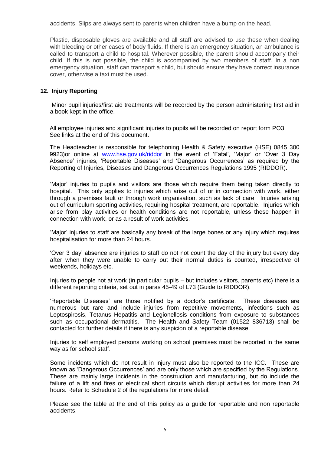accidents. Slips are always sent to parents when children have a bump on the head.

Plastic, disposable gloves are available and all staff are advised to use these when dealing with bleeding or other cases of body fluids. If there is an emergency situation, an ambulance is called to transport a child to hospital. Wherever possible, the parent should accompany their child. If this is not possible, the child is accompanied by two members of staff. In a non emergency situation, staff can transport a child, but should ensure they have correct insurance cover, otherwise a taxi must be used.

# **12. Injury Reporting**

Minor pupil injuries/first aid treatments will be recorded by the person administering first aid in a book kept in the office.

All employee injuries and significant injuries to pupils will be recorded on report form PO3. See links at the end of this document.

The Headteacher is responsible for telephoning Health & Safety executive (HSE) 0845 300 9923)or online at [www.hse.gov.uk/riddor](http://www.hse.gov.uk/riddor) in the event of 'Fatal', 'Major' or 'Over 3 Day Absence' injuries, 'Reportable Diseases' and 'Dangerous Occurrences' as required by the Reporting of Injuries, Diseases and Dangerous Occurrences Regulations 1995 (RIDDOR).

'Major' injuries to pupils and visitors are those which require them being taken directly to hospital. This only applies to injuries which arise out of or in connection with work, either through a premises fault or through work organisation, such as lack of care. Injuries arising out of curriculum sporting activities, requiring hospital treatment, are reportable. Injuries which arise from play activities or health conditions are not reportable, unless these happen in connection with work, or as a result of work activities.

'Major' injuries to staff are basically any break of the large bones or any injury which requires hospitalisation for more than 24 hours.

'Over 3 day' absence are injuries to staff do not not count the day of the injury but every day after when they were unable to carry out their normal duties is counted, irrespective of weekends, holidays etc.

Injuries to people not at work (in particular pupils – but includes visitors, parents etc) there is a different reporting criteria, set out in paras 45-49 of L73 (Guide to RIDDOR).

'Reportable Diseases' are those notified by a doctor's certificate. These diseases are numerous but rare and include injuries from repetitive movements, infections such as Leptospirosis, Tetanus Hepatitis and Legionellosis conditions from exposure to substances such as occupational dermatitis. The Health and Safety Team (01522 836713) shall be contacted for further details if there is any suspicion of a reportable disease.

Injuries to self employed persons working on school premises must be reported in the same way as for school staff.

Some incidents which do not result in injury must also be reported to the ICC. These are known as 'Dangerous Occurrences' and are only those which are specified by the Regulations. These are mainly large incidents in the construction and manufacturing, but do include the failure of a lift and fires or electrical short circuits which disrupt activities for more than 24 hours. Refer to Schedule 2 of the regulations for more detail.

Please see the table at the end of this policy as a guide for reportable and non reportable accidents.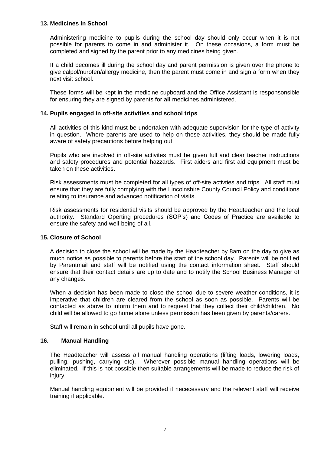#### **13. Medicines in School**

Administering medicine to pupils during the school day should only occur when it is not possible for parents to come in and administer it. On these occasions, a form must be completed and signed by the parent prior to any medicines being given.

If a child becomes ill during the school day and parent permission is given over the phone to give calpol/nurofen/allergy medicine, then the parent must come in and sign a form when they next visit school.

These forms will be kept in the medicine cupboard and the Office Assistant is responsonsible for ensuring they are signed by parents for **all** medicines administered.

#### **14. Pupils engaged in off-site activities and school trips**

All activities of this kind must be undertaken with adequate supervision for the type of activity in question. Where parents are used to help on these activities, they should be made fully aware of safety precautions before helping out.

Pupils who are involved in off-site activites must be given full and clear teacher instructions and safety procedures and potential hazzards. First aiders and first aid equipment must be taken on these activities.

Risk assessments must be completed for all types of off-site activties and trips. All staff must ensure that they are fully complying with the Lincolnshire County Council Policy and conditions relating to insurance and advanced notification of visits.

Risk assessments for residential visits should be approved by the Headteacher and the local authority. Standard Operting procedures (SOP's) and Codes of Practice are available to ensure the safety and well-being of all.

#### **15. Closure of School**

A decision to close the school will be made by the Headteacher by 8am on the day to give as much notice as possible to parents before the start of the school day. Parents will be notified by Parentmail and staff will be notified using the contact information sheet. Staff should ensure that their contact details are up to date and to notify the School Business Manager of any changes.

When a decision has been made to close the school due to severe weather conditions, it is imperative that children are cleared from the school as soon as possible. Parents will be contacted as above to inform them and to request that they collect their child/children. No child will be allowed to go home alone unless permission has been given by parents/carers.

Staff will remain in school until all pupils have gone.

#### **16. Manual Handling**

The Headteacher will assess all manual handling operations (lifting loads, lowering loads, pulling, pushing, carrying etc). Wherever possible manual handling operations will be eliminated. If this is not possible then suitable arrangements will be made to reduce the risk of injury.

Manual handling equipment will be provided if nececessary and the relevent staff will receive training if applicable.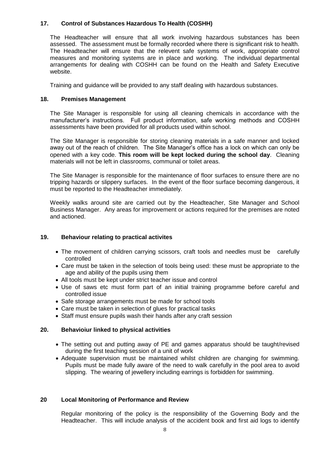# **17. Control of Substances Hazardous To Health (COSHH)**

The Headteacher will ensure that all work involving hazardous substances has been assessed. The assessment must be formally recorded where there is significant risk to health. The Headteacher will ensure that the relevent safe systems of work, appropriate control measures and monitoring systems are in place and working. The individual departmental arrangements for dealing with COSHH can be found on the Health and Safety Executive website.

Training and guidance will be provided to any staff dealing with hazardous substances.

# **18. Premises Management**

The Site Manager is responsible for using all cleaning chemicals in accordance with the manufacturer's instructions. Full product information, safe working methods and COSHH assessments have been provided for all products used within school.

The Site Manager is responsible for storing cleaning materials in a safe manner and locked away out of the reach of children. The Site Manager's office has a lock on which can only be opened with a key code. **This room will be kept locked during the school day**. Cleaning materials will not be left in classrooms, communal or toilet areas.

The Site Manager is responsible for the maintenance of floor surfaces to ensure there are no tripping hazards or slippery surfaces. In the event of the floor surface becoming dangerous, it must be reported to the Headteacher immediately.

Weekly walks around site are carried out by the Headteacher, Site Manager and School Business Manager. Any areas for improvement or actions required for the premises are noted and actioned.

# **19. Behaviour relating to practical activites**

- The movement of children carrying scissors, craft tools and needles must be carefully controlled
- Care must be taken in the selection of tools being used: these must be appropriate to the age and ability of the pupils using them
- All tools must be kept under strict teacher issue and control
- Use of saws etc must form part of an initial training programme before careful and controlled issue
- Safe storage arrangements must be made for school tools
- Care must be taken in selection of glues for practical tasks
- Staff must ensure pupils wash their hands after any craft session

#### **20. Behavioiur linked to physical activities**

- The setting out and putting away of PE and games apparatus should be taught/revised during the first teaching session of a unit of work
- Adequate supervision must be maintained whilst children are changing for swimming. Pupils must be made fully aware of the need to walk carefully in the pool area to avoid slipping. The wearing of jewellery including earrings is forbidden for swimming.

#### **20 Local Monitoring of Performance and Review**

Regular monitoring of the policy is the responsibility of the Governing Body and the Headteacher. This will include analysis of the accident book and first aid logs to identify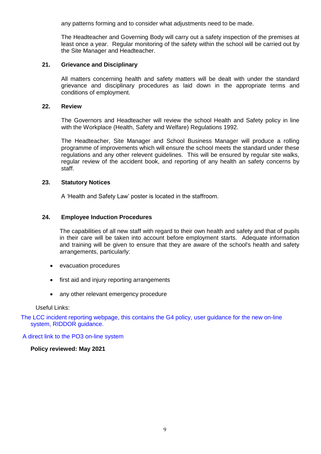any patterns forming and to consider what adjustments need to be made.

The Headteacher and Governing Body will carry out a safety inspection of the premises at least once a year. Regular monitoring of the safety within the school will be carried out by the Site Manager and Headteacher.

#### **21. Grievance and Disciplinary**

All matters concerning health and safety matters will be dealt with under the standard grievance and disciplinary procedures as laid down in the appropriate terms and conditions of employment.

#### **22. Review**

The Governors and Headteacher will review the school Health and Safety policy in line with the Workplace (Health, Safety and Welfare) Regulations 1992.

The Headteacher, Site Manager and School Business Manager will produce a rolling programme of improvements which will ensure the school meets the standard under these regulations and any other relevent guidelines. This will be ensured by regular site walks, regular review of the accident book, and reporting of any health an safety concerns by staff.

#### **23. Statutory Notices**

A 'Health and Safety Law' poster is located in the staffroom.

#### **24. Employee Induction Procedures**

The capabilities of all new staff with regard to their own health and safety and that of pupils in their care will be taken into account before employment starts. Adequate information and training will be given to ensure that they are aware of the school's health and safety arrangements, particularly:

- evacuation procedures
- first aid and injury reporting arrangements
- any other relevant emergency procedure

#### Useful Links:

The LCC incident reporting [webpage,](https://owasfsm.lsn.lincs.sch.uk/owa/redir.aspx?C=7gZH5eYRp0CV3pIDg-NH7kGEA9372tMIhBPDR8eVQ76MEwM_6-z2Ke8MC2MiLYR5c-pk992157E.&URL=http%3a%2f%2fwww.lincolnshire.gov.uk%2fjobs%2fmanuals%2fhealth-and-safety-manual%2faccident-reporting%2fg4-reporting-of-work-related-injuries%2fincidents-and-cases-of-ill-health%2f47623.article) this contains the G4 policy, user guidance for the new on-line system, RIDDOR [guidance.](https://owasfsm.lsn.lincs.sch.uk/owa/redir.aspx?C=7gZH5eYRp0CV3pIDg-NH7kGEA9372tMIhBPDR8eVQ76MEwM_6-z2Ke8MC2MiLYR5c-pk992157E.&URL=http%3a%2f%2fwww.lincolnshire.gov.uk%2fjobs%2fmanuals%2fhealth-and-safety-manual%2faccident-reporting%2fg4-reporting-of-work-related-injuries%2fincidents-and-cases-of-ill-health%2f47623.article)

#### A direct link to the PO3 on-line [system](https://owasfsm.lsn.lincs.sch.uk/owa/redir.aspx?C=7gZH5eYRp0CV3pIDg-NH7kGEA9372tMIhBPDR8eVQ76MEwM_6-z2Ke8MC2MiLYR5c-pk992157E.&URL=http%3a%2f%2fsbsmims.net%2fmims_health-safety%2fjg23%7ekp44-zx72%2fLINCC%2f)

#### **Policy reviewed: May 2021**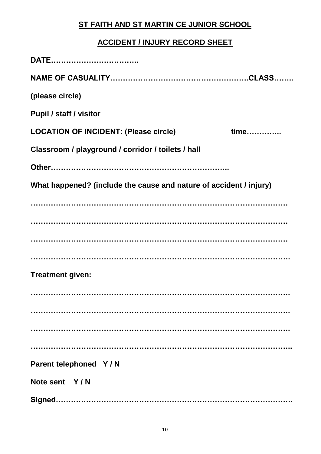# **ST FAITH AND ST MARTIN CE JUNIOR SCHOOL**

# **ACCIDENT / INJURY RECORD SHEET**

| (please circle)                                                    |      |
|--------------------------------------------------------------------|------|
| <b>Pupil / staff / visitor</b>                                     |      |
| <b>LOCATION OF INCIDENT: (Please circle)</b>                       | time |
| Classroom / playground / corridor / toilets / hall                 |      |
|                                                                    |      |
| What happened? (include the cause and nature of accident / injury) |      |
|                                                                    |      |
|                                                                    |      |
|                                                                    |      |
|                                                                    |      |
| <b>Treatment given:</b>                                            |      |
|                                                                    |      |
|                                                                    |      |
|                                                                    |      |
|                                                                    |      |
| Parent telephoned Y/N                                              |      |
| Note sent Y/N                                                      |      |
|                                                                    |      |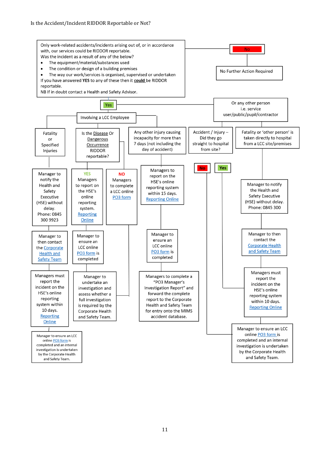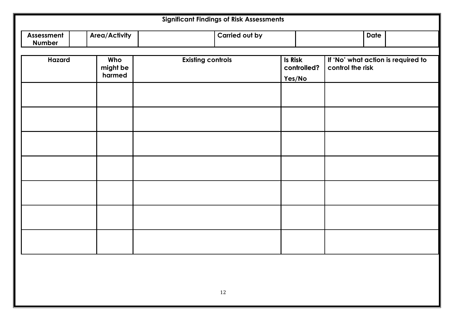| <b>Area/Activity</b><br><b>Carried out by</b><br>Assessment<br><b>Date</b><br>Number<br><b>Hazard</b><br><b>Existing controls</b><br>Is Risk<br>Who<br>controlled?<br>might be<br>control the risk<br>harmed<br>Yes/No | <b>Significant Findings of Risk Assessments</b> |  |  |  |                                    |  |  |
|------------------------------------------------------------------------------------------------------------------------------------------------------------------------------------------------------------------------|-------------------------------------------------|--|--|--|------------------------------------|--|--|
|                                                                                                                                                                                                                        |                                                 |  |  |  |                                    |  |  |
|                                                                                                                                                                                                                        |                                                 |  |  |  | If 'No' what action is required to |  |  |
|                                                                                                                                                                                                                        |                                                 |  |  |  |                                    |  |  |
|                                                                                                                                                                                                                        |                                                 |  |  |  |                                    |  |  |
|                                                                                                                                                                                                                        |                                                 |  |  |  |                                    |  |  |
|                                                                                                                                                                                                                        |                                                 |  |  |  |                                    |  |  |
|                                                                                                                                                                                                                        |                                                 |  |  |  |                                    |  |  |
|                                                                                                                                                                                                                        |                                                 |  |  |  |                                    |  |  |
|                                                                                                                                                                                                                        |                                                 |  |  |  |                                    |  |  |